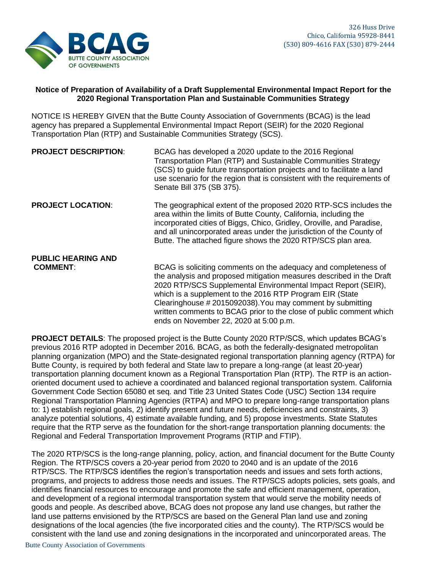

## **Notice of Preparation of Availability of a Draft Supplemental Environmental Impact Report for the 2020 Regional Transportation Plan and Sustainable Communities Strategy**

NOTICE IS HEREBY GIVEN that the Butte County Association of Governments (BCAG) is the lead agency has prepared a Supplemental Environmental Impact Report (SEIR) for the 2020 Regional Transportation Plan (RTP) and Sustainable Communities Strategy (SCS).

| <b>PROJECT DESCRIPTION:</b> | BCAG has developed a 2020 update to the 2016 Regional<br>Transportation Plan (RTP) and Sustainable Communities Strategy<br>(SCS) to guide future transportation projects and to facilitate a land<br>use scenario for the region that is consistent with the requirements of<br>Senate Bill 375 (SB 375).                                                                                                                                          |
|-----------------------------|----------------------------------------------------------------------------------------------------------------------------------------------------------------------------------------------------------------------------------------------------------------------------------------------------------------------------------------------------------------------------------------------------------------------------------------------------|
| <b>PROJECT LOCATION:</b>    | The geographical extent of the proposed 2020 RTP-SCS includes the<br>area within the limits of Butte County, California, including the<br>incorporated cities of Biggs, Chico, Gridley, Oroville, and Paradise,<br>and all unincorporated areas under the jurisdiction of the County of<br>Butte. The attached figure shows the 2020 RTP/SCS plan area.                                                                                            |
| <b>PUBLIC HEARING AND</b>   |                                                                                                                                                                                                                                                                                                                                                                                                                                                    |
| <b>COMMENT:</b>             | BCAG is soliciting comments on the adequacy and completeness of<br>the analysis and proposed mitigation measures described in the Draft<br>2020 RTP/SCS Supplemental Environmental Impact Report (SEIR),<br>which is a supplement to the 2016 RTP Program EIR (State<br>Clearinghouse #2015092038). You may comment by submitting<br>written comments to BCAG prior to the close of public comment which<br>ends on November 22, 2020 at 5:00 p.m. |

**PROJECT DETAILS**: The proposed project is the Butte County 2020 RTP/SCS, which updates BCAG's previous 2016 RTP adopted in December 2016. BCAG, as both the federally-designated metropolitan planning organization (MPO) and the State-designated regional transportation planning agency (RTPA) for Butte County, is required by both federal and State law to prepare a long-range (at least 20-year) transportation planning document known as a Regional Transportation Plan (RTP). The RTP is an actionoriented document used to achieve a coordinated and balanced regional transportation system. California Government Code Section 65080 et seq. and Title 23 United States Code (USC) Section 134 require Regional Transportation Planning Agencies (RTPA) and MPO to prepare long-range transportation plans to: 1) establish regional goals, 2) identify present and future needs, deficiencies and constraints, 3) analyze potential solutions, 4) estimate available funding, and 5) propose investments. State Statutes require that the RTP serve as the foundation for the short-range transportation planning documents: the Regional and Federal Transportation Improvement Programs (RTIP and FTIP).

The 2020 RTP/SCS is the long-range planning, policy, action, and financial document for the Butte County Region. The RTP/SCS covers a 20-year period from 2020 to 2040 and is an update of the 2016 RTP/SCS. The RTP/SCS identifies the region's transportation needs and issues and sets forth actions, programs, and projects to address those needs and issues. The RTP/SCS adopts policies, sets goals, and identifies financial resources to encourage and promote the safe and efficient management, operation, and development of a regional intermodal transportation system that would serve the mobility needs of goods and people. As described above, BCAG does not propose any land use changes, but rather the land use patterns envisioned by the RTP/SCS are based on the General Plan land use and zoning designations of the local agencies (the five incorporated cities and the county). The RTP/SCS would be consistent with the land use and zoning designations in the incorporated and unincorporated areas. The